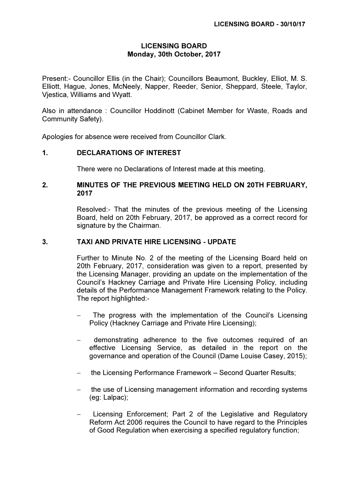#### LICENSING BOARD Monday, 30th October, 2017

Present:- Councillor Ellis (in the Chair); Councillors Beaumont, Buckley, Elliot, M. S. Elliott, Hague, Jones, McNeely, Napper, Reeder, Senior, Sheppard, Steele, Taylor, Vjestica, Williams and Wyatt.

Also in attendance : Councillor Hoddinott (Cabinet Member for Waste, Roads and Community Safety).

Apologies for absence were received from Councillor Clark.

# 1. DECLARATIONS OF INTEREST

There were no Declarations of Interest made at this meeting.

# 2. MINUTES OF THE PREVIOUS MEETING HELD ON 20TH FEBRUARY, 2017

 Resolved:- That the minutes of the previous meeting of the Licensing Board, held on 20th February, 2017, be approved as a correct record for signature by the Chairman.

#### 3. TAXI AND PRIVATE HIRE LICENSING - UPDATE

 Further to Minute No. 2 of the meeting of the Licensing Board held on 20th February, 2017, consideration was given to a report, presented by the Licensing Manager, providing an update on the implementation of the Council's Hackney Carriage and Private Hire Licensing Policy, including details of the Performance Management Framework relating to the Policy. The report highlighted:-

- The progress with the implementation of the Council's Licensing Policy (Hackney Carriage and Private Hire Licensing);
- − demonstrating adherence to the five outcomes required of an effective Licensing Service, as detailed in the report on the governance and operation of the Council (Dame Louise Casey, 2015);
- − the Licensing Performance Framework Second Quarter Results;
- − the use of Licensing management information and recording systems (eg: Lalpac);
- Licensing Enforcement; Part 2 of the Legislative and Regulatory Reform Act 2006 requires the Council to have regard to the Principles of Good Regulation when exercising a specified regulatory function;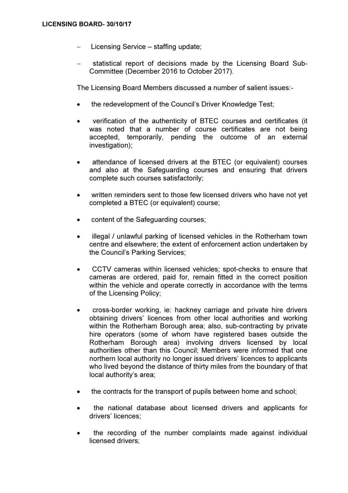- − Licensing Service staffing update;
- − statistical report of decisions made by the Licensing Board Sub-Committee (December 2016 to October 2017).

The Licensing Board Members discussed a number of salient issues:-

- the redevelopment of the Council's Driver Knowledge Test;
- verification of the authenticity of BTEC courses and certificates (it was noted that a number of course certificates are not being accepted, temporarily, pending the outcome of an external investigation);
- attendance of licensed drivers at the BTEC (or equivalent) courses and also at the Safeguarding courses and ensuring that drivers complete such courses satisfactorily;
- written reminders sent to those few licensed drivers who have not yet completed a BTEC (or equivalent) course;
- content of the Safeguarding courses;
- illegal / unlawful parking of licensed vehicles in the Rotherham town centre and elsewhere; the extent of enforcement action undertaken by the Council's Parking Services;
- CCTV cameras within licensed vehicles; spot-checks to ensure that cameras are ordered, paid for, remain fitted in the correct position within the vehicle and operate correctly in accordance with the terms of the Licensing Policy;
- cross-border working, ie: hackney carriage and private hire drivers obtaining drivers' licences from other local authorities and working within the Rotherham Borough area; also, sub-contracting by private hire operators (some of whom have registered bases outside the Rotherham Borough area) involving drivers licensed by local authorities other than this Council; Members were informed that one northern local authority no longer issued drivers' licences to applicants who lived beyond the distance of thirty miles from the boundary of that local authority's area;
- the contracts for the transport of pupils between home and school;
- the national database about licensed drivers and applicants for drivers' licences;
- the recording of the number complaints made against individual licensed drivers;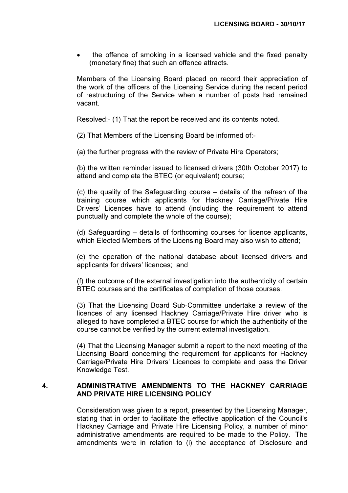the offence of smoking in a licensed vehicle and the fixed penalty (monetary fine) that such an offence attracts.

Members of the Licensing Board placed on record their appreciation of the work of the officers of the Licensing Service during the recent period of restructuring of the Service when a number of posts had remained vacant.

Resolved:- (1) That the report be received and its contents noted.

(2) That Members of the Licensing Board be informed of:-

(a) the further progress with the review of Private Hire Operators;

(b) the written reminder issued to licensed drivers (30th October 2017) to attend and complete the BTEC (or equivalent) course;

(c) the quality of the Safeguarding course – details of the refresh of the training course which applicants for Hackney Carriage/Private Hire Drivers' Licences have to attend (including the requirement to attend punctually and complete the whole of the course);

(d) Safeguarding – details of forthcoming courses for licence applicants, which Elected Members of the Licensing Board may also wish to attend;

(e) the operation of the national database about licensed drivers and applicants for drivers' licences; and

(f) the outcome of the external investigation into the authenticity of certain BTEC courses and the certificates of completion of those courses.

(3) That the Licensing Board Sub-Committee undertake a review of the licences of any licensed Hackney Carriage/Private Hire driver who is alleged to have completed a BTEC course for which the authenticity of the course cannot be verified by the current external investigation.

(4) That the Licensing Manager submit a report to the next meeting of the Licensing Board concerning the requirement for applicants for Hackney Carriage/Private Hire Drivers' Licences to complete and pass the Driver Knowledge Test.

# 4. ADMINISTRATIVE AMENDMENTS TO THE HACKNEY CARRIAGE AND PRIVATE HIRE LICENSING POLICY

 Consideration was given to a report, presented by the Licensing Manager, stating that in order to facilitate the effective application of the Council's Hackney Carriage and Private Hire Licensing Policy, a number of minor administrative amendments are required to be made to the Policy. The amendments were in relation to (i) the acceptance of Disclosure and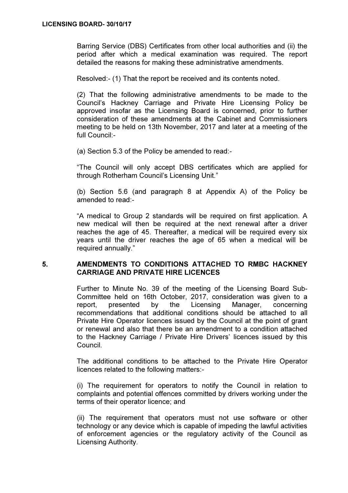Barring Service (DBS) Certificates from other local authorities and (ii) the period after which a medical examination was required. The report detailed the reasons for making these administrative amendments.

Resolved:- (1) That the report be received and its contents noted.

(2) That the following administrative amendments to be made to the Council's Hackney Carriage and Private Hire Licensing Policy be approved insofar as the Licensing Board is concerned, prior to further consideration of these amendments at the Cabinet and Commissioners meeting to be held on 13th November, 2017 and later at a meeting of the full Council:-

(a) Section 5.3 of the Policy be amended to read:-

"The Council will only accept DBS certificates which are applied for through Rotherham Council's Licensing Unit."

(b) Section 5.6 (and paragraph 8 at Appendix A) of the Policy be amended to read:-

"A medical to Group 2 standards will be required on first application. A new medical will then be required at the next renewal after a driver reaches the age of 45. Thereafter, a medical will be required every six years until the driver reaches the age of 65 when a medical will be required annually."

#### 5. AMENDMENTS TO CONDITIONS ATTACHED TO RMBC HACKNEY CARRIAGE AND PRIVATE HIRE LICENCES

 Further to Minute No. 39 of the meeting of the Licensing Board Sub-Committee held on 16th October, 2017, consideration was given to a report, presented by the Licensing Manager, concerning recommendations that additional conditions should be attached to all Private Hire Operator licences issued by the Council at the point of grant or renewal and also that there be an amendment to a condition attached to the Hackney Carriage / Private Hire Drivers' licences issued by this Council.

The additional conditions to be attached to the Private Hire Operator licences related to the following matters:-

(i) The requirement for operators to notify the Council in relation to complaints and potential offences committed by drivers working under the terms of their operator licence; and

(ii) The requirement that operators must not use software or other technology or any device which is capable of impeding the lawful activities of enforcement agencies or the regulatory activity of the Council as Licensing Authority.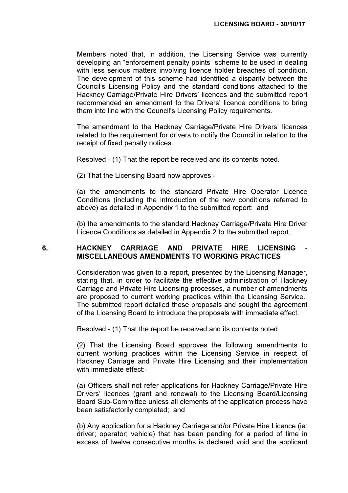Members noted that, in addition, the Licensing Service was currently developing an "enforcement penalty points" scheme to be used in dealing with less serious matters involving licence holder breaches of condition. The development of this scheme had identified a disparity between the Council's Licensing Policy and the standard conditions attached to the Hackney Carriage/Private Hire Drivers' licences and the submitted report recommended an amendment to the Drivers' licence conditions to bring them into line with the Council's Licensing Policy requirements.

The amendment to the Hackney Carriage/Private Hire Drivers' licences related to the requirement for drivers to notify the Council in relation to the receipt of fixed penalty notices.

Resolved:- (1) That the report be received and its contents noted.

(2) That the Licensing Board now approves:-

(a) the amendments to the standard Private Hire Operator Licence Conditions (including the introduction of the new conditions referred to above) as detailed in Appendix 1 to the submitted report; and

(b) the amendments to the standard Hackney Carriage/Private Hire Driver Licence Conditions as detailed in Appendix 2 to the submitted report.

#### 6. HACKNEY CARRIAGE AND PRIVATE HIRE LICENSING MISCELLANEOUS AMENDMENTS TO WORKING PRACTICES

 Consideration was given to a report, presented by the Licensing Manager, stating that, in order to facilitate the effective administration of Hackney Carriage and Private Hire Licensing processes, a number of amendments are proposed to current working practices within the Licensing Service. The submitted report detailed those proposals and sought the agreement of the Licensing Board to introduce the proposals with immediate effect.

Resolved:- (1) That the report be received and its contents noted.

(2) That the Licensing Board approves the following amendments to current working practices within the Licensing Service in respect of Hackney Carriage and Private Hire Licensing and their implementation with immediate effect:-

(a) Officers shall not refer applications for Hackney Carriage/Private Hire Drivers' licences (grant and renewal) to the Licensing Board/Licensing Board Sub-Committee unless all elements of the application process have been satisfactorily completed; and

(b) Any application for a Hackney Carriage and/or Private Hire Licence (ie: driver; operator; vehicle) that has been pending for a period of time in excess of twelve consecutive months is declared void and the applicant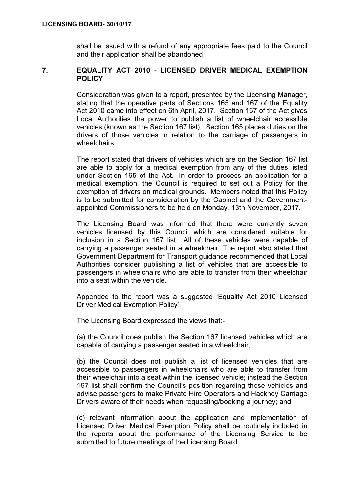shall be issued with a refund of any appropriate fees paid to the Council and their application shall be abandoned.

### 7. EQUALITY ACT 2010 - LICENSED DRIVER MEDICAL EXEMPTION **POLICY**

 Consideration was given to a report, presented by the Licensing Manager, stating that the operative parts of Sections 165 and 167 of the Equality Act 2010 came into effect on 6th April, 2017. Section 167 of the Act gives Local Authorities the power to publish a list of wheelchair accessible vehicles (known as the Section 167 list). Section 165 places duties on the drivers of those vehicles in relation to the carriage of passengers in wheelchairs.

The report stated that drivers of vehicles which are on the Section 167 list are able to apply for a medical exemption from any of the duties listed under Section 165 of the Act. In order to process an application for a medical exemption, the Council is required to set out a Policy for the exemption of drivers on medical grounds. Members noted that this Policy is to be submitted for consideration by the Cabinet and the Governmentappointed Commissioners to be held on Monday, 13th November, 2017.

The Licensing Board was informed that there were currently seven vehicles licensed by this Council which are considered suitable for inclusion in a Section 167 list. All of these vehicles were capable of carrying a passenger seated in a wheelchair. The report also stated that Government Department for Transport guidance recommended that Local Authorities consider publishing a list of vehicles that are accessible to passengers in wheelchairs who are able to transfer from their wheelchair into a seat within the vehicle.

Appended to the report was a suggested 'Equality Act 2010 Licensed Driver Medical Exemption Policy'.

The Licensing Board expressed the views that:-

(a) the Council does publish the Section 167 licensed vehicles which are capable of carrying a passenger seated in a wheelchair;

(b) the Council does not publish a list of licensed vehicles that are accessible to passengers in wheelchairs who are able to transfer from their wheelchair into a seat within the licensed vehicle; instead the Section 167 list shall confirm the Council's position regarding these vehicles and advise passengers to make Private Hire Operators and Hackney Carriage Drivers aware of their needs when requesting/booking a journey; and

(c) relevant information about the application and implementation of Licensed Driver Medical Exemption Policy shall be routinely included in the reports about the performance of the Licensing Service to be submitted to future meetings of the Licensing Board.